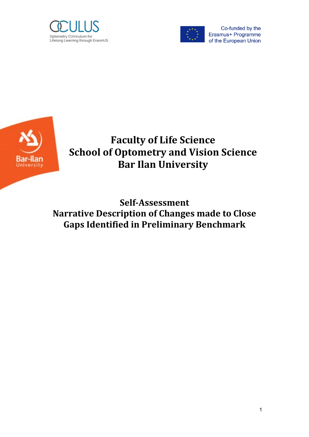



Co-funded by the Erasmus+ Programme of the European Union



**Faculty of Life Science School of Optometry and Vision Science Bar Ilan University**

**Self-Assessment Narrative Description of Changes made to Close Gaps Identified in Preliminary Benchmark**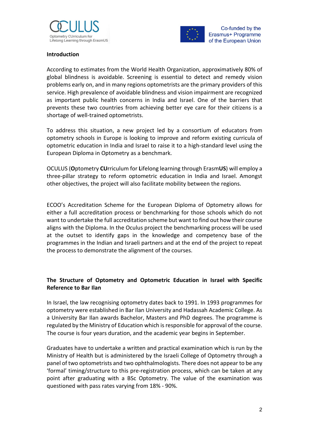



#### **Introduction**

According to estimates from the World Health Organization, approximatively 80% of global blindness is avoidable. Screening is essential to detect and remedy vision problems early on, and in many regions optometrists are the primary providers of this service. High prevalence of avoidable blindness and vision impairment are recognized as important public health concerns in India and Israel. One of the barriers that prevents these two countries from achieving better eye care for their citizens is a shortage of well-trained optometrists.

To address this situation, a new project led by a consortium of educators from optometry schools in Europe is looking to improve and reform existing curricula of optometric education in India and Israel to raise it to a high-standard level using the European Diploma in Optometry as a benchmark.

OCULUS (**O**ptometry **CU**rriculum for **L**ifelong learning through Erasm**US**) will employ a three-pillar strategy to reform optometric education in India and Israel. Amongst other objectives, the project will also facilitate mobility between the regions.

ECOO's Accreditation Scheme for the European Diploma of Optometry allows for either a full accreditation process or benchmarking for those schools which do not want to undertake the full accreditation scheme but want to find out how their course aligns with the Diploma. In the Oculus project the benchmarking process will be used at the outset to identify gaps in the knowledge and competency base of the programmes in the Indian and Israeli partners and at the end of the project to repeat the process to demonstrate the alignment of the courses.

### **The Structure of Optometry and Optometric Education in Israel with Specific Reference to Bar Ilan**

In Israel, the law recognising optometry dates back to 1991. In 1993 programmes for optometry were established in Bar Ilan University and Hadassah Academic College. As a University Bar Ilan awards Bachelor, Masters and PhD degrees. The programme is regulated by the Ministry of Education which is responsible for approval of the course. The course is four years duration, and the academic year begins in September.

Graduates have to undertake a written and practical examination which is run by the Ministry of Health but is administered by the Israeli College of Optometry through a panel of two optometrists and two ophthalmologists. There does not appear to be any 'formal' timing/structure to this pre-registration process, which can be taken at any point after graduating with a BSc Optometry. The value of the examination was questioned with pass rates varying from 18% - 90%.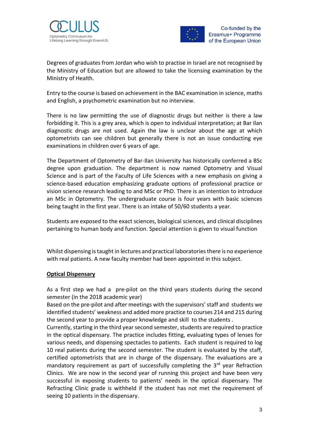



Degrees of graduates from Jordan who wish to practise in Israel are not recognised by the Ministry of Education but are allowed to take the licensing examination by the Ministry of Health.

Entry to the course is based on achievement in the BAC examination in science, maths and English, a psychometric examination but no interview.

There is no law permitting the use of diagnostic drugs but neither is there a law forbidding it. This is a grey area, which is open to individual interpretation; at Bar Ilan diagnostic drugs are not used. Again the law is unclear about the age at which optometrists can see children but generally there is not an issue conducting eye examinations in children over 6 years of age.

The Department of Optometry of Bar-Ilan University has historically conferred a BSc degree upon graduation. The department is now named Optometry and Visual Science and is part of the Faculty of Life Sciences with a new emphasis on giving a science-based education emphasizing graduate options of professional practice or vision science research leading to and MSc or PhD. There is an intention to introduce an MSc in Optometry. The undergraduate course is four years with basic sciences being taught in the first year. There is an intake of 50/60 students a year.

Students are exposed to the exact sciences, biological sciences, and clinical disciplines pertaining to human body and function. Special attention is given to visual function

Whilst dispensing is taught in lectures and practical laboratories there is no experience with real patients. A new faculty member had been appointed in this subject.

#### **Optical Dispensary**

As a first step we had a pre-pilot on the third years students during the second semester (in the 2018 academic year)

Based on the pre-pilot and after meetings with the supervisors' staff and students we identified students' weakness and added more practice to courses 214 and 215 during the second year to provide a proper knowledge and skill to the students .

Currently, starting in the third year second semester, students are required to practice in the optical dispensary. The practice includes fitting, evaluating types of lenses for various needs, and dispensing spectacles to patients. Each student is required to log 10 real patients during the second semester. The student is evaluated by the staff, certified optometrists that are in charge of the dispensary. The evaluations are a mandatory requirement as part of successfully completing the  $3<sup>rd</sup>$  year Refraction Clinics. We are now in the second year of running this project and have been very successful in exposing students to patients' needs in the optical dispensary. The Refracting Clinic grade is withheld if the student has not met the requirement of seeing 10 patients in the dispensary.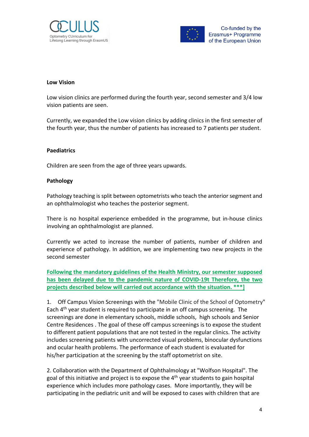



#### **Low Vision**

Low vision clinics are performed during the fourth year, second semester and 3/4 low vision patients are seen.

Currently, we expanded the Low vision clinics by adding clinics in the first semester of the fourth year, thus the number of patients has increased to 7 patients per student.

#### **Paediatrics**

Children are seen from the age of three years upwards.

#### **Pathology**

Pathology teaching is split between optometrists who teach the anterior segment and an ophthalmologist who teaches the posterior segment.

There is no hospital experience embedded in the programme, but in-house clinics involving an ophthalmologist are planned.

Currently we acted to increase the number of patients, number of children and experience of pathology. In addition, we are implementing two new projects in the second semester

**Following the mandatory guidelines of the Health Ministry, our semester supposed has been delayed due to the pandemic nature of COVID-19t Therefore, the two projects described below will carried out accordance with the situation. \*\*\*]**

1. Off Campus Vision Screenings with the "Mobile Clinic of the School of Optometry" Each 4<sup>th</sup> year student is required to participate in an off campus screening. The screenings are done in elementary schools, middle schools, high schools and Senior Centre Residences . The goal of these off campus screenings is to expose the student to different patient populations that are not tested in the regular clinics. The activity includes screening patients with uncorrected visual problems, binocular dysfunctions and ocular health problems. The performance of each student is evaluated for his/her participation at the screening by the staff optometrist on site.

2. Collaboration with the Department of Ophthalmology at "Wolfson Hospital". The goal of this initiative and project is to expose the 4<sup>th</sup> year students to gain hospital experience which includes more pathology cases. More importantly, they will be participating in the pediatric unit and will be exposed to cases with children that are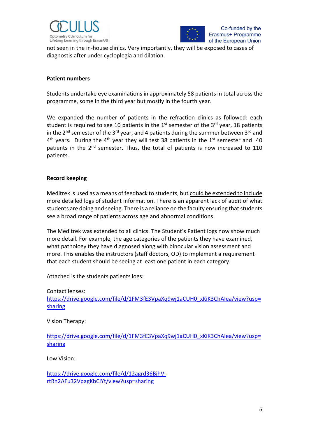



not seen in the in-house clinics. Very importantly, they will be exposed to cases of diagnostis after under cycloplegia and dilation.

#### **Patient numbers**

Students undertake eye examinations in approximately 58 patients in total across the programme, some in the third year but mostly in the fourth year.

We expanded the number of patients in the refraction clinics as followed: each student is required to see 10 patients in the  $1<sup>st</sup>$  semester of the 3<sup>rd</sup> year, 18 patients in the  $2^{nd}$  semester of the  $3^{rd}$  year, and 4 patients during the summer between  $3^{rd}$  and  $4<sup>th</sup>$  years. During the  $4<sup>th</sup>$  year they will test 38 patients in the 1<sup>st</sup> semester and 40 patients in the 2<sup>nd</sup> semester. Thus, the total of patients is now increased to 110 patients.

#### **Record keeping**

Meditrek is used as a means of feedback to students, but could be extended to include more detailed logs of student information. There is an apparent lack of audit of what students are doing and seeing. There is a reliance on the faculty ensuring that students see a broad range of patients across age and abnormal conditions.

The Meditrek was extended to all clinics. The Student's Patient logs now show much more detail. For example, the age categories of the patients they have examined, what pathology they have diagnosed along with binocular vision assessment and more. This enables the instructors (staff doctors, OD) to implement a requirement that each student should be seeing at least one patient in each category.

Attached is the students patients logs:

Contact lenses: [https://drive.google.com/file/d/1FM3fE3VpaXq9wj1aCUH0\\_xKiK3ChAIea/view?usp=](https://drive.google.com/file/d/1FM3fE3VpaXq9wj1aCUH0_xKiK3ChAIea/view?usp=sharing) [sharing](https://drive.google.com/file/d/1FM3fE3VpaXq9wj1aCUH0_xKiK3ChAIea/view?usp=sharing)

Vision Therapy:

[https://drive.google.com/file/d/1FM3fE3VpaXq9wj1aCUH0\\_xKiK3ChAIea/view?usp=](https://drive.google.com/file/d/1FM3fE3VpaXq9wj1aCUH0_xKiK3ChAIea/view?usp=sharing) [sharing](https://drive.google.com/file/d/1FM3fE3VpaXq9wj1aCUH0_xKiK3ChAIea/view?usp=sharing)

Low Vision:

[https://drive.google.com/file/d/12agrd36BjhV](https://drive.google.com/file/d/12agrd36BjhV-rtRn2AFu32VpagKbCiYt/view?usp=sharing)[rtRn2AFu32VpagKbCiYt/view?usp=sharing](https://drive.google.com/file/d/12agrd36BjhV-rtRn2AFu32VpagKbCiYt/view?usp=sharing)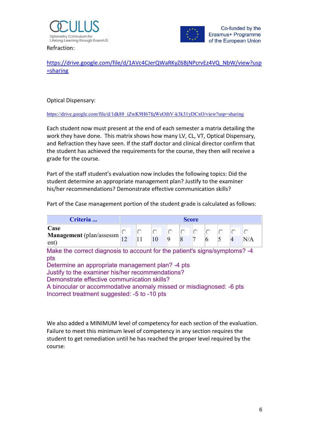



Refraction:

[https://drive.google.com/file/d/1AVc4CJerQWaRKyZ6BjNPcrvEz4VQ\\_NbW/view?usp](https://drive.google.com/file/d/1AVc4CJerQWaRKyZ6BjNPcrvEz4VQ_NbW/view?usp=sharing) [=sharing](https://drive.google.com/file/d/1AVc4CJerQWaRKyZ6BjNPcrvEz4VQ_NbW/view?usp=sharing)

Optical Dispensary:

[https://drive.google.com/file/d/1dk88\\_iZwK9H67fqWeOihV-k3k31yDCxO/view?usp=sharing](https://drive.google.com/file/d/1dk88_iZwK9H67fqWeOihV-k3k31yDCxO/view?usp=sharing)

Each student now must present at the end of each semester a matrix detailing the work they have done. This matrix shows how many LV, CL, VT, Optical Dispensary, and Refraction they have seen. If the staff doctor and clinical director confirm that the student has achieved the requirements for the course, they then will receive a grade for the course.

Part of the staff student's evaluation now includes the following topics: Did the student determine an appropriate management plan? Justify to the examiner his/her recommendations? Demonstrate effective communication skills?

Part of the Case management portion of the student grade is calculated as follows:

| Criteria                                                                                                                                                                                                                                                                                                                                                        | <b>Score</b> |    |  |  |  |  |  |  |  |     |
|-----------------------------------------------------------------------------------------------------------------------------------------------------------------------------------------------------------------------------------------------------------------------------------------------------------------------------------------------------------------|--------------|----|--|--|--|--|--|--|--|-----|
| Case<br>Management (plan/assessm<br>ent)                                                                                                                                                                                                                                                                                                                        | $\circ$      | 11 |  |  |  |  |  |  |  | N/A |
| Make the correct diagnosis to account for the patient's signs/symptoms? -4<br>pts<br>Determine an appropriate management plan? -4 pts<br>Justify to the examiner his/her recommendations?<br>Demonstrate effective communication skills?<br>A binocular or accommodative anomaly missed or misdiagnosed: -6 pts<br>Incorrect treatment suggested: -5 to -10 pts |              |    |  |  |  |  |  |  |  |     |

We also added a MINIMUM level of competency for each section of the evaluation. Failure to meet this minimum level of competency in any section requires the student to get remediation until he has reached the proper level required by the course: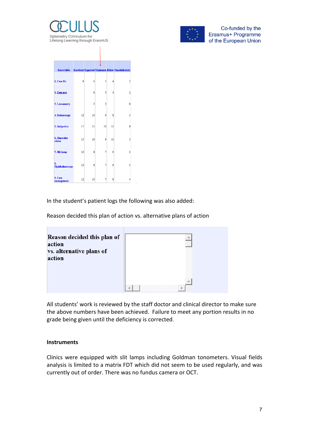



| <b>Score table</b>     |              |                |                |                         | <b>Excellent Expected Minimum Below Unsatisfactory</b> |
|------------------------|--------------|----------------|----------------|-------------------------|--------------------------------------------------------|
| 1. Case Hx             | $\mathbf{8}$ | 6              | 5              | 4                       | $\overline{2}$                                         |
| 2. Entr.test           |              | 6              | 5              | $\overline{4}$          | $\overline{2}$                                         |
| 3. Lensometry          |              | $\overline{c}$ | $\overline{c}$ |                         | 0                                                      |
| 4. Retinoscopy         | 12           | 10             | 9              | 8                       | 3                                                      |
| 5. Subjective          | 17           | 15             | 13             | 12                      | 8                                                      |
| 6. Binocular<br>vision | 15           | 13             | 9              | 10                      | 5                                                      |
| 7. Slit lamp           | 10           | 8              | $\overline{7}$ | 6                       | 3                                                      |
| 8.<br>Ophthalmoscopy   | 10           | 8              |                | 6                       | 3                                                      |
| 9. Case<br>management  | 12           | 10             | 7              | $\overline{\mathbf{8}}$ | 4                                                      |

In the student's patient logs the following was also added:

Reason decided this plan of action vs. alternative plans of action

| Reason decided this plan of |  |
|-----------------------------|--|
| action                      |  |
| vs. alternative plans of    |  |
| action                      |  |
|                             |  |
|                             |  |
|                             |  |
|                             |  |
|                             |  |

All students' work is reviewed by the staff doctor and clinical director to make sure the above numbers have been achieved. Failure to meet any portion results in no grade being given until the deficiency is corrected.

#### **Instruments**

Clinics were equipped with slit lamps including Goldman tonometers. Visual fields analysis is limited to a matrix FDT which did not seem to be used regularly, and was currently out of order. There was no fundus camera or OCT.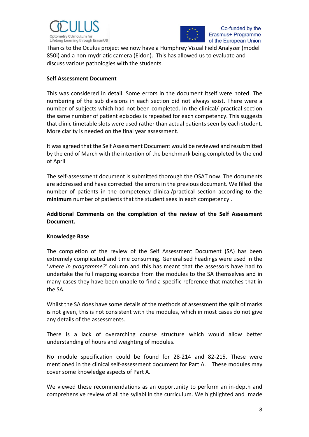



Thanks to the Oculus project we now have a Humphrey Visual Field Analyzer (model 850i) and a non-mydriatic camera (Eidon). This has allowed us to evaluate and discuss various pathologies with the students.

#### **Self Assessment Document**

This was considered in detail. Some errors in the document itself were noted. The numbering of the sub divisions in each section did not always exist. There were a number of subjects which had not been completed. In the clinical/ practical section the same number of patient episodes is repeated for each competency. This suggests that clinic timetable slots were used rather than actual patients seen by each student. More clarity is needed on the final year assessment.

It was agreed that the Self Assessment Document would be reviewed and resubmitted by the end of March with the intention of the benchmark being completed by the end of April

The self-assessment document is submitted thorough the OSAT now. The documents are addressed and have corrected the errors in the previous document. We filled the number of patients in the competency clinical/practical section according to the **minimum** number of patients that the student sees in each competency .

**Additional Comments on the completion of the review of the Self Assessment Document.**

#### **Knowledge Base**

The completion of the review of the Self Assessment Document (SA) has been extremely complicated and time consuming. Generalised headings were used in the '*where in programme?'* column and this has meant that the assessors have had to undertake the full mapping exercise from the modules to the SA themselves and in many cases they have been unable to find a specific reference that matches that in the SA.

Whilst the SA does have some details of the methods of assessment the split of marks is not given, this is not consistent with the modules, which in most cases do not give any details of the assessments.

There is a lack of overarching course structure which would allow better understanding of hours and weighting of modules.

No module specification could be found for 28-214 and 82-215. These were mentioned in the clinical self-assessment document for Part A. These modules may cover some knowledge aspects of Part A.

We viewed these recommendations as an opportunity to perform an in-depth and comprehensive review of all the syllabi in the curriculum. We highlighted and made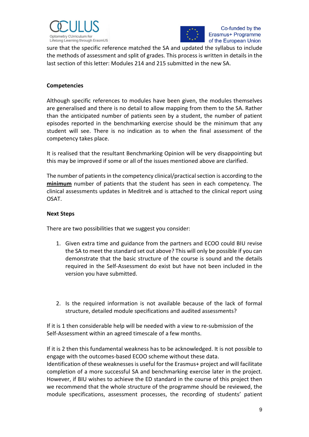



sure that the specific reference matched the SA and updated the syllabus to include the methods of assessment and split of grades. This process is written in details in the last section of this letter: Modules 214 and 215 submitted in the new SA.

#### **Competencies**

Although specific references to modules have been given, the modules themselves are generalised and there is no detail to allow mapping from them to the SA. Rather than the anticipated number of patients seen by a student, the number of patient episodes reported in the benchmarking exercise should be the minimum that any student will see. There is no indication as to when the final assessment of the competency takes place.

It is realised that the resultant Benchmarking Opinion will be very disappointing but this may be improved if some or all of the issues mentioned above are clarified.

The number of patients in the competency clinical/practical section is according to the **minimum** number of patients that the student has seen in each competency. The clinical assessments updates in Meditrek and is attached to the clinical report using OSAT.

#### **Next Steps**

There are two possibilities that we suggest you consider:

- 1. Given extra time and guidance from the partners and ECOO could BIU revise the SA to meet the standard set out above? This will only be possible if you can demonstrate that the basic structure of the course is sound and the details required in the Self-Assessment do exist but have not been included in the version you have submitted.
- 2. Is the required information is not available because of the lack of formal structure, detailed module specifications and audited assessments?

If it is 1 then considerable help will be needed with a view to re-submission of the Self-Assessment within an agreed timescale of a few months.

If it is 2 then this fundamental weakness has to be acknowledged. It is not possible to engage with the outcomes-based ECOO scheme without these data. Identification of these weaknesses is useful for the Erasmus+ project and will facilitate completion of a more successful SA and benchmarking exercise later in the project. However, if BIU wishes to achieve the ED standard in the course of this project then we recommend that the whole structure of the programme should be reviewed, the module specifications, assessment processes, the recording of students' patient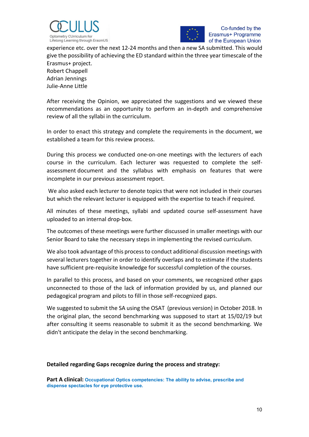



experience etc. over the next 12-24 months and then a new SA submitted. This would give the possibility of achieving the ED standard within the three year timescale of the Erasmus+ project.

Robert Chappell Adrian Jennings Julie-Anne Little

After receiving the Opinion, we appreciated the suggestions and we viewed these recommendations as an opportunity to perform an in-depth and comprehensive review of all the syllabi in the curriculum.

In order to enact this strategy and complete the requirements in the document, we established a team for this review process.

During this process we conducted one-on-one meetings with the lecturers of each course in the curriculum. Each lecturer was requested to complete the selfassessment document and the syllabus with emphasis on features that were incomplete in our previous assessment report.

We also asked each lecturer to denote topics that were not included in their courses but which the relevant lecturer is equipped with the expertise to teach if required.

All minutes of these meetings, syllabi and updated course self-assessment have uploaded to an internal drop-box.

The outcomes of these meetings were further discussed in smaller meetings with our Senior Board to take the necessary steps in implementing the revised curriculum.

We also took advantage of this process to conduct additional discussion meetings with several lecturers together in order to identify overlaps and to estimate if the students have sufficient pre-requisite knowledge for successful completion of the courses.

In parallel to this process, and based on your comments, we recognized other gaps unconnected to those of the lack of information provided by us, and planned our pedagogical program and pilots to fill in those self-recognized gaps.

We suggested to submit the SA using the OSAT (previous version) in October 2018. In the original plan, the second benchmarking was supposed to start at 15/02/19 but after consulting it seems reasonable to submit it as the second benchmarking. We didn't anticipate the delay in the second benchmarking.

#### **Detailed regarding Gaps recognize during the process and strategy:**

**Part A clinical: Occupational Optics competencies: The ability to advise, prescribe and dispense spectacles for eye protective use.**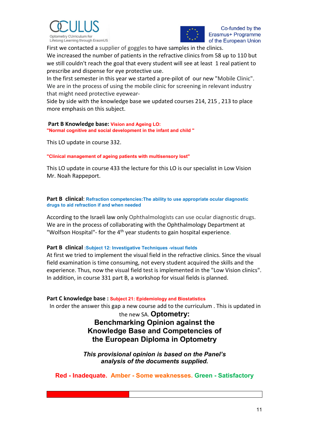



First we contacted a supplier of goggles to have samples in the clinics.

We increased the number of patients in the refractive clinics from 58 up to 110 but we still couldn't reach the goal that every student will see at least 1 real patient to prescribe and dispense for eye protective use.

In the first semester in this year we started a pre-pilot of our new "Mobile Clinic". We are in the process of using the mobile clinic for screening in relevant industry that might need protective eyewear-

Side by side with the knowledge base we updated courses 214, 215 , 213 to place more emphasis on this subject.

#### **Part B Knowledge base: Vision and Ageing LO:**

**"Normal cognitive and social development in the infant and child "** 

This LO update in course 332.

**"Clinical management of ageing patients with multisensory lost"** 

This LO update in course 433 the lecture for this LO is our specialist in Low Vision Mr. Noah Rappeport.

**Part B clinical**: **Refraction competencies:The ability to use appropriate ocular diagnostic drugs to aid refraction if and when needed**

According to the Israeli law only Ophthalmologists can use ocular diagnostic drugs. We are in the process of collaborating with the Ophthalmology Department at "Wolfson Hospital"- for the 4<sup>th</sup> year students to gain hospital experience.

#### **Part B clinical :Subject 12: Investigative Techniques -visual fields**

At first we tried to implement the visual field in the refractive clinics. Since the visual field examination is time consuming, not every student acquired the skills and the experience. Thus, now the visual field test is implemented in the "Low Vision clinics". In addition, in course 331 part B, a workshop for visual fields is planned.

#### **Part C knowledge base : Subject 21: Epidemiology and Biostatistics**

In order the answer this gap a new course add to the curriculum . This is updated in

the new SA. **Optometry: Benchmarking Opinion against the Knowledge Base and Competencies of the European Diploma in Optometry**

*This provisional opinion is based on the Panel's analysis of the documents supplied.*

**Red - Inadequate. Amber - Some weaknesses. Green - Satisfactory**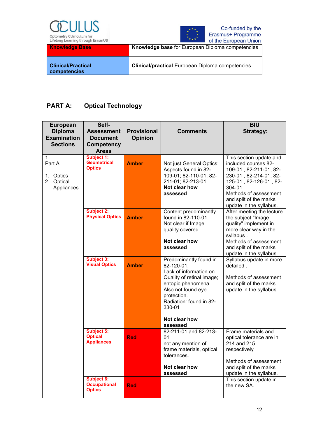



| <b>Knowledge Base</b>                     | Knowledge base for European Diploma competencies        |
|-------------------------------------------|---------------------------------------------------------|
| <b>Clinical/Practical</b><br>competencies | <b>Clinical/practical European Diploma competencies</b> |

## **PART A: Optical Technology**

| <b>European</b><br><b>Diploma</b><br><b>Examination</b><br><b>Sections</b> | Self-<br><b>Assessment</b><br><b>Document</b><br><b>Competency</b><br><b>Areas</b> | <b>Provisional</b><br><b>Opinion</b> | <b>Comments</b>                                                                                                                                                                                                          | <b>BIU</b><br><b>Strategy:</b>                                                                                                                                                                                        |
|----------------------------------------------------------------------------|------------------------------------------------------------------------------------|--------------------------------------|--------------------------------------------------------------------------------------------------------------------------------------------------------------------------------------------------------------------------|-----------------------------------------------------------------------------------------------------------------------------------------------------------------------------------------------------------------------|
| $\mathbf{1}$<br>Part A<br>1. Optics<br>2. Optical<br>Appliances            | Subject 1:<br><b>Geometrical</b><br><b>Optics</b>                                  | <b>Amber</b>                         | Not just General Optics:<br>Aspects found in 82-<br>109-01; 82-110-01; 82-<br>211-01; 82-213-01<br>Not clear how<br>assessed                                                                                             | This section update and<br>included courses 82-<br>109-01, 82-211-01, 82-<br>230-01, 82-214-01, 82-<br>125-01, 82-126-01, 82-<br>304-01<br>Methods of assessment<br>and split of the marks<br>update in the syllabus. |
|                                                                            | <b>Subject 2:</b><br><b>Physical Optics</b>                                        | <b>Amber</b>                         | Content predominantly<br>found in 82-110-01.<br>Not clear if Image<br>quality covered.<br>Not clear how<br>assessed                                                                                                      | After meeting the lecture<br>the subject "Image<br>quality" implement in<br>more clear way in the<br>syllabus.<br>Methods of assessment<br>and split of the marks<br>update in the syllabus.                          |
|                                                                            | <b>Subject 3:</b><br><b>Visual Optics</b>                                          | <b>Amber</b>                         | Predominantly found in<br>82-120-01.<br>Lack of information on<br>Quality of retinal image;<br>entopic phenomena.<br>Also not found eye<br>protection.<br>Radiation: found in 82-<br>330-01<br>Not clear how<br>assessed | Syllabus update in more<br>detailed.<br>Methods of assessment<br>and split of the marks<br>update in the syllabus.                                                                                                    |
|                                                                            | <b>Subject 5:</b><br><b>Optical</b><br><b>Appliances</b>                           | <b>Red</b>                           | 82-211-01 and 82-213-<br>01<br>not any mention of<br>frame materials, optical<br>tolerances.<br>Not clear how<br>assessed                                                                                                | Frame materials and<br>optical tolerance are in<br>214 and 215<br>respectively<br>Methods of assessment<br>and split of the marks<br>update in the syllabus.                                                          |
|                                                                            | <b>Subject 6:</b><br><b>Occupational</b><br><b>Optics</b>                          | <b>Red</b>                           |                                                                                                                                                                                                                          | This section update in<br>the new SA.                                                                                                                                                                                 |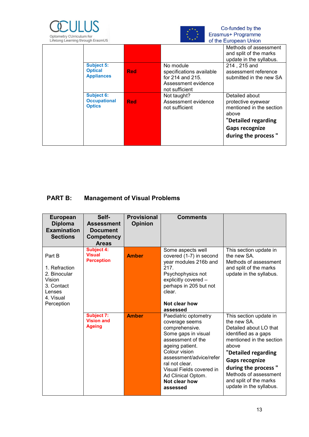



| LITCLUITY LOGITHING GITOGYLI LIGSITIUS                   |                                   |                                                                                                    | <b>OF LITE LUI OPEAN UNION</b>                                                                                                                   |
|----------------------------------------------------------|-----------------------------------|----------------------------------------------------------------------------------------------------|--------------------------------------------------------------------------------------------------------------------------------------------------|
|                                                          |                                   |                                                                                                    | Methods of assessment                                                                                                                            |
|                                                          |                                   |                                                                                                    | and split of the marks                                                                                                                           |
|                                                          |                                   |                                                                                                    | update in the syllabus.                                                                                                                          |
| <b>Subject 5:</b><br><b>Optical</b><br><b>Appliances</b> | <b>Red</b>                        | No module<br>specifications available<br>for 214 and 215.<br>Assessment evidence<br>not sufficient | 214, 215 and<br>assessment reference<br>submitted in the new SA                                                                                  |
| <b>Subject 6:</b><br><b>Optics</b>                       | <b>Occupational</b><br><b>Red</b> | Not taught?<br>Assessment evidence<br>not sufficient                                               | Detailed about<br>protective eyewear<br>mentioned in the section<br>above<br>"Detailed regarding<br><b>Gaps recognize</b><br>during the process" |
|                                                          |                                   |                                                                                                    |                                                                                                                                                  |

# **PART B: Management of Visual Problems**

| <b>European</b><br><b>Diploma</b><br><b>Examination</b><br><b>Sections</b>                           | Self-<br><b>Assessment</b><br><b>Document</b><br>Competency<br><b>Areas</b> | <b>Provisional</b><br><b>Opinion</b> | <b>Comments</b>                                                                                                                                                                                                                                                      |                                                                                                                                                                                                                                                                                   |
|------------------------------------------------------------------------------------------------------|-----------------------------------------------------------------------------|--------------------------------------|----------------------------------------------------------------------------------------------------------------------------------------------------------------------------------------------------------------------------------------------------------------------|-----------------------------------------------------------------------------------------------------------------------------------------------------------------------------------------------------------------------------------------------------------------------------------|
| Part B<br>1. Refraction<br>2. Binocular<br>Vision<br>3. Contact<br>Lenses<br>4. Visual<br>Perception | <b>Subject 4:</b><br><b>Visual</b><br><b>Perception</b>                     | <b>Amber</b>                         | Some aspects well<br>covered (1-7) in second<br>year modules 216b and<br>217.<br>Psychophysics not<br>explicitly covered -<br>perhaps in 205 but not<br>clear.<br>Not clear how<br>assessed                                                                          | This section update in<br>the new SA.<br>Methods of assessment<br>and split of the marks<br>update in the syllabus.                                                                                                                                                               |
|                                                                                                      | <b>Subject 7:</b><br><b>Vision and</b><br><b>Ageing</b>                     | <b>Amber</b>                         | Paediatric optometry<br>coverage seems<br>comprehensive.<br>Some gaps in visual<br>assessment of the<br>ageing patient.<br>Colour vision<br>assessment/advice/refer<br>ral not clear.<br>Visual Fields covered in<br>Ad Clinical Optom.<br>Not clear how<br>assessed | This section update in<br>the new SA.<br>Detailed about LO that<br>identified as a gaps<br>mentioned in the section<br>above<br>"Detailed regarding<br><b>Gaps recognize</b><br>during the process"<br>Methods of assessment<br>and split of the marks<br>update in the syllabus. |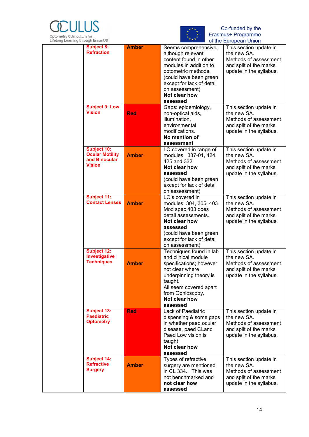



| Lifetong Learning through Erasmus |                                                                         |              |                                                                                                                                                                                                                            | or the European Union                                                                                               |
|-----------------------------------|-------------------------------------------------------------------------|--------------|----------------------------------------------------------------------------------------------------------------------------------------------------------------------------------------------------------------------------|---------------------------------------------------------------------------------------------------------------------|
|                                   | <b>Subject 8:</b><br><b>Refraction</b>                                  | <b>Amber</b> | Seems comprehensive,<br>although relevant<br>content found in other<br>modules in addition to<br>optometric methods.<br>(could have been green<br>except for lack of detail<br>on assessment)<br>Not clear how<br>assessed | This section update in<br>the new SA.<br>Methods of assessment<br>and split of the marks<br>update in the syllabus. |
|                                   | <b>Subject 9: Low</b><br><b>Vision</b>                                  | <b>Red</b>   | Gaps: epidemiology,<br>non-optical aids,<br>illumination,<br>environmental<br>modifications.<br>No mention of<br>assessment                                                                                                | This section update in<br>the new SA.<br>Methods of assessment<br>and split of the marks<br>update in the syllabus. |
|                                   | Subject 10:<br><b>Ocular Motility</b><br>and Binocular<br><b>Vision</b> | <b>Amber</b> | LO covered in range of<br>modules: 337-01, 424,<br>425 and 332<br>Not clear how<br>assessed<br>(could have been green<br>except for lack of detail<br>on assessment)                                                       | This section update in<br>the new SA.<br>Methods of assessment<br>and split of the marks<br>update in the syllabus. |
|                                   | Subject 11:<br><b>Contact Lenses</b>                                    | <b>Amber</b> | LO's covered in<br>modules: 304, 305, 403<br>Mod spec 403 does<br>detail assessments.<br>Not clear how<br>assessed<br>(could have been green<br>except for lack of detail<br>on assessment)                                | This section update in<br>the new SA.<br>Methods of assessment<br>and split of the marks<br>update in the syllabus. |
|                                   | Subject 12:<br>Investigative<br><b>Techniques</b>                       | <b>Amber</b> | Techniques found in lab<br>and clinical module<br>specifications; however<br>not clear where<br>underpinning theory is<br>taught.<br>All seem covered apart<br>from Gonioscopy.<br>Not clear how<br>assessed               | This section update in<br>the new SA.<br>Methods of assessment<br>and split of the marks<br>update in the syllabus. |
|                                   | <b>Subject 13:</b><br><b>Paediatric</b><br><b>Optometry</b>             | <b>Red</b>   | Lack of Paediatric<br>dispensing & some gaps<br>in whether paed ocular<br>disease, paed CLand<br>Paed Low vision is<br>taught<br>Not clear how<br>assessed                                                                 | This section update in<br>the new SA.<br>Methods of assessment<br>and split of the marks<br>update in the syllabus. |
|                                   | <b>Subject 14:</b><br><b>Refractive</b><br><b>Surgery</b>               | <b>Amber</b> | Types of refractive<br>surgery are mentioned<br>in CL 334. This was<br>not benchmarked and<br>not clear how<br>assessed                                                                                                    | This section update in<br>the new SA.<br>Methods of assessment<br>and split of the marks<br>update in the syllabus. |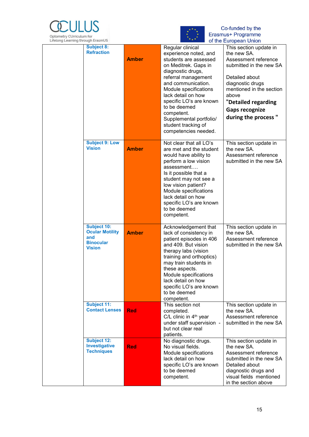



| <b>Subject 8:</b><br><b>Refraction</b>                                                   | <b>Amber</b> | Regular clinical<br>experience noted, and<br>students are assessed<br>on Meditrek. Gaps in<br>diagnostic drugs,<br>referral management<br>and communication.<br>Module specifications<br>lack detail on how<br>specific LO's are known<br>to be deemed<br>competent.                                    | $m \cdot p \cdot m \cdot n \cdot m$<br>This section update in<br>the new SA.<br>Assessment reference<br>submitted in the new SA<br>Detailed about<br>diagnostic drugs<br>mentioned in the section<br>above<br>"Detailed regarding<br><b>Gaps recognize</b><br>during the process" |
|------------------------------------------------------------------------------------------|--------------|---------------------------------------------------------------------------------------------------------------------------------------------------------------------------------------------------------------------------------------------------------------------------------------------------------|-----------------------------------------------------------------------------------------------------------------------------------------------------------------------------------------------------------------------------------------------------------------------------------|
|                                                                                          |              | Supplemental portfolio/<br>student tracking of<br>competencies needed.                                                                                                                                                                                                                                  |                                                                                                                                                                                                                                                                                   |
| <b>Subject 9: Low</b><br><b>Vision</b>                                                   | <b>Amber</b> | Not clear that all LO's<br>are met and the student<br>would have ability to<br>perform a low vision<br>assessment<br>Is it possible that a<br>student may not see a<br>low vision patient?<br>Module specifications<br>lack detail on how<br>specific LO's are known<br>to be deemed<br>competent.      | This section update in<br>the new SA.<br>Assessment reference<br>submitted in the new SA                                                                                                                                                                                          |
| <b>Subject 10:</b><br><b>Ocular Motility</b><br>and<br><b>Binocular</b><br><b>Vision</b> | <b>Amber</b> | Acknowledgement that<br>lack of consistency in<br>patient episodes in 406<br>and 409. But vision<br>therapy labs (vision<br>training and orthoptics)<br>may train students in<br>these aspects.<br>Module specifications<br>lack detail on how<br>specific LO's are known<br>to be deemed<br>competent. | This section update in<br>the new SA.<br>Assessment reference<br>submitted in the new SA                                                                                                                                                                                          |
| <b>Subject 11:</b><br><b>Contact Lenses</b>                                              | <b>Red</b>   | This section not<br>completed.<br>C/L clinic in 4 <sup>th</sup> year<br>under staff supervision -<br>but not clear real<br>patients.                                                                                                                                                                    | This section update in<br>the new SA.<br>Assessment reference<br>submitted in the new SA                                                                                                                                                                                          |
| <b>Subject 12:</b><br>Investigative<br><b>Techniques</b>                                 | <b>Red</b>   | No diagnostic drugs.<br>No visual fields.<br>Module specifications<br>lack detail on how<br>specific LO's are known<br>to be deemed<br>competent.                                                                                                                                                       | This section update in<br>the new SA.<br>Assessment reference<br>submitted in the new SA<br>Detailed about<br>diagnostic drugs and<br>visual fields mentioned<br>in the section above                                                                                             |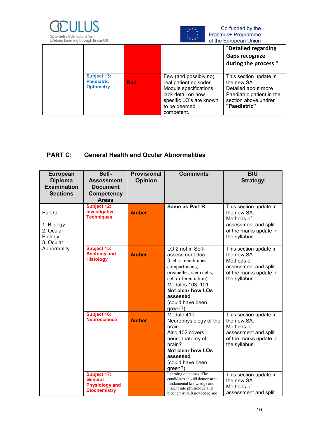



| Lifetong Learning through Erasmus |                                                             |            |                                                                                                                                                         | or the European Union                                                                                                             |
|-----------------------------------|-------------------------------------------------------------|------------|---------------------------------------------------------------------------------------------------------------------------------------------------------|-----------------------------------------------------------------------------------------------------------------------------------|
|                                   |                                                             |            |                                                                                                                                                         | "Detailed regarding<br><b>Gaps recognize</b><br>during the process "                                                              |
|                                   | <b>Subject 13:</b><br><b>Paediatric</b><br><b>Optometry</b> | <b>Red</b> | Few (and possibly no)<br>real patient episodes.<br>Module specifications<br>lack detail on how<br>specific LO's are known<br>to be deemed<br>competent. | This section update in<br>the new SA.<br>Detailed about more<br>Paediatric patient in the<br>section above undrer<br>"Paediatric" |

### **PART C: General Health and Ocular Abnormalities**

| <b>European</b><br><b>Diploma</b><br><b>Examination</b><br><b>Sections</b> | Self-<br><b>Assessment</b><br><b>Document</b><br>Competency            | <b>Provisional</b><br><b>Opinion</b> | <b>Comments</b>                                                                                                                                                                                                            | <b>BIU</b><br><b>Strategy:</b>                                                                                         |
|----------------------------------------------------------------------------|------------------------------------------------------------------------|--------------------------------------|----------------------------------------------------------------------------------------------------------------------------------------------------------------------------------------------------------------------------|------------------------------------------------------------------------------------------------------------------------|
|                                                                            | <b>Areas</b>                                                           |                                      |                                                                                                                                                                                                                            |                                                                                                                        |
| Part C<br>1. Biology<br>2. Ocular<br>Biology<br>3. Ocular                  | <b>Subject 12:</b><br>Investigative<br><b>Techniques</b>               | <b>Amber</b>                         | Same as Part B                                                                                                                                                                                                             | This section update in<br>the new SA.<br>Methods of<br>assessment and split<br>of the marks update in<br>the syllabus. |
| Abnormality                                                                | <b>Subject 15:</b><br><b>Anatomy and</b><br><b>Histology</b>           | <b>Amber</b>                         | LO 2 not in Self-<br>assessment doc.<br>(Cells: membranes,<br>compartments,<br>organelles, stem cells,<br>cell differentiation)<br>Modules 103, 101<br><b>Not clear how LOs</b><br>assessed<br>(could have been<br>green?) | This section update in<br>the new SA.<br>Methods of<br>assessment and split<br>of the marks update in<br>the syllabus. |
|                                                                            | <b>Subject 16:</b><br><b>Neuroscience</b>                              | <b>Amber</b>                         | Module 410.<br>Neurophysiology of the<br>brain.<br>Also 102 covers<br>neuroanatomy of<br>brain?<br><b>Not clear how LOs</b><br>assessed<br>(could have been<br>green?)                                                     | This section update in<br>the new SA.<br>Methods of<br>assessment and split<br>of the marks update in<br>the syllabus. |
|                                                                            | Subject 17:<br>General<br><b>Physiology and</b><br><b>Biochemistry</b> |                                      | Learning outcomes: The<br>candidates should demonstrate<br>fundamental knowledge and<br>insight into physiology and<br>biochemistry. Knowledge and                                                                         | This section update in<br>the new SA.<br>Methods of<br>assessment and split                                            |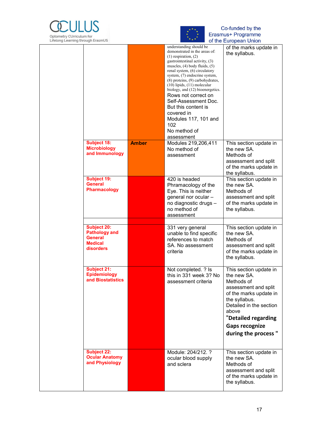



| Lifetong Learning unough Literitios |                                                                                      |              |                                                                                                                                                                                                                                                                                                                                                                                                                                                                                           | ι οι της Ευτορςαπ Οπισπ                                                                                                                                                           |
|-------------------------------------|--------------------------------------------------------------------------------------|--------------|-------------------------------------------------------------------------------------------------------------------------------------------------------------------------------------------------------------------------------------------------------------------------------------------------------------------------------------------------------------------------------------------------------------------------------------------------------------------------------------------|-----------------------------------------------------------------------------------------------------------------------------------------------------------------------------------|
|                                     |                                                                                      |              | understanding should be<br>demonstrated in the areas of:<br>$(1)$ respiration, $(2)$<br>gastrointestinal activity, (3)<br>muscles, $(4)$ body fluids, $(5)$<br>renal system, (6) circulatory<br>system, (7) endocrine system,<br>(8) proteins, (9) carbohydrates,<br>$(10)$ lipids, $(11)$ molecular<br>biology, and (12) bioenergetics.<br>Rows not correct on<br>Self-Assessment Doc.<br>But this content is<br>covered in<br>Modules 117, 101 and<br>102<br>No method of<br>assessment | of the marks update in<br>the syllabus.                                                                                                                                           |
|                                     | <b>Subject 18:</b>                                                                   | <b>Amber</b> | Modules 219,206,411                                                                                                                                                                                                                                                                                                                                                                                                                                                                       | This section update in                                                                                                                                                            |
|                                     | <b>Microbiology</b>                                                                  |              | No method of                                                                                                                                                                                                                                                                                                                                                                                                                                                                              | the new SA.                                                                                                                                                                       |
|                                     | and Immunology                                                                       |              | assessment                                                                                                                                                                                                                                                                                                                                                                                                                                                                                | Methods of                                                                                                                                                                        |
|                                     |                                                                                      |              |                                                                                                                                                                                                                                                                                                                                                                                                                                                                                           | assessment and split                                                                                                                                                              |
|                                     |                                                                                      |              |                                                                                                                                                                                                                                                                                                                                                                                                                                                                                           | of the marks update in                                                                                                                                                            |
|                                     |                                                                                      |              |                                                                                                                                                                                                                                                                                                                                                                                                                                                                                           | the syllabus.                                                                                                                                                                     |
|                                     | Subject 19:<br><b>General</b>                                                        |              | 420 is headed                                                                                                                                                                                                                                                                                                                                                                                                                                                                             | This section update in<br>the new SA.                                                                                                                                             |
|                                     | <b>Pharmacology</b>                                                                  |              | Phramacology of the<br>Eye. This is neither                                                                                                                                                                                                                                                                                                                                                                                                                                               | Methods of                                                                                                                                                                        |
|                                     |                                                                                      |              | general nor ocular -                                                                                                                                                                                                                                                                                                                                                                                                                                                                      | assessment and split                                                                                                                                                              |
|                                     |                                                                                      |              | no diagnostic drugs -                                                                                                                                                                                                                                                                                                                                                                                                                                                                     | of the marks update in                                                                                                                                                            |
|                                     |                                                                                      |              | no method of                                                                                                                                                                                                                                                                                                                                                                                                                                                                              | the syllabus.                                                                                                                                                                     |
|                                     |                                                                                      |              | assessment                                                                                                                                                                                                                                                                                                                                                                                                                                                                                |                                                                                                                                                                                   |
|                                     |                                                                                      |              |                                                                                                                                                                                                                                                                                                                                                                                                                                                                                           |                                                                                                                                                                                   |
|                                     | <b>Subject 20:</b><br><b>Pathology and</b><br>General<br><b>Medical</b><br>disorders |              | 331 very general<br>unable to find specific<br>references to match<br>SA. No assessment<br>criteria                                                                                                                                                                                                                                                                                                                                                                                       | This section update in<br>the new SA.<br>Methods of<br>assessment and split<br>of the marks update in<br>the syllabus.                                                            |
|                                     | <b>Subject 21:</b><br>Epidemiology<br>and Biostatistics                              |              | Not completed. ? Is<br>this in 331 week 3? No<br>assessment criteria                                                                                                                                                                                                                                                                                                                                                                                                                      | This section update in<br>the new SA.<br>Methods of<br>assessment and split<br>of the marks update in<br>the syllabus.<br>Detailed in the section<br>above<br>"Detailed regarding |
|                                     |                                                                                      |              |                                                                                                                                                                                                                                                                                                                                                                                                                                                                                           | <b>Gaps recognize</b>                                                                                                                                                             |
|                                     |                                                                                      |              |                                                                                                                                                                                                                                                                                                                                                                                                                                                                                           | during the process "                                                                                                                                                              |
|                                     |                                                                                      |              |                                                                                                                                                                                                                                                                                                                                                                                                                                                                                           |                                                                                                                                                                                   |
|                                     | <b>Subject 22:</b>                                                                   |              | Module: 204/212. ?                                                                                                                                                                                                                                                                                                                                                                                                                                                                        | This section update in                                                                                                                                                            |
|                                     | <b>Ocular Anatomy</b><br>and Physiology                                              |              | ocular blood supply<br>and sclera                                                                                                                                                                                                                                                                                                                                                                                                                                                         | the new SA.<br>Methods of<br>assessment and split<br>of the marks update in                                                                                                       |
|                                     |                                                                                      |              |                                                                                                                                                                                                                                                                                                                                                                                                                                                                                           | the syllabus.                                                                                                                                                                     |